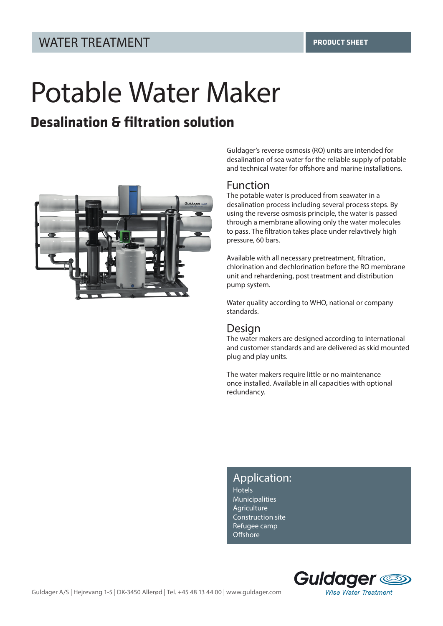# Potable Water Maker

# **Desalination & filtration solution**



Guldager's reverse osmosis (RO) units are intended for desalination of sea water for the reliable supply of potable and technical water for offshore and marine installations.

#### Function

The potable water is produced from seawater in a desalination process including several process steps. By using the reverse osmosis principle, the water is passed through a membrane allowing only the water molecules to pass. The filtration takes place under relavtively high pressure, 60 bars.

Available with all necessary pretreatment, filtration, chlorination and dechlorination before the RO membrane unit and rehardening, post treatment and distribution pump system.

Water quality according to WHO, national or company standards.

#### Design

The water makers are designed according to international and customer standards and are delivered as skid mounted plug and play units.

The water makers require little or no maintenance once installed. Available in all capacities with optional redundancy.

#### Application:

Hotels **Municipalities** Agriculture Construction site Refugee camp **Offshore**